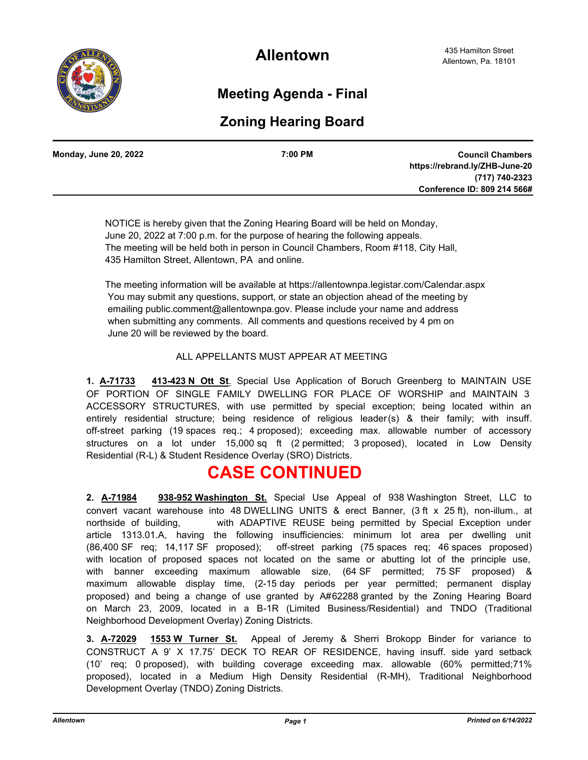

**Allentown**

## **Meeting Agenda - Final**

## **Zoning Hearing Board**

| <b>Monday, June 20, 2022</b> | 7:00 PM | <b>Council Chambers</b>        |
|------------------------------|---------|--------------------------------|
|                              |         | https://rebrand.ly/ZHB-June-20 |
|                              |         | (717) 740-2323                 |
|                              |         | Conference ID: 809 214 566#    |
|                              |         |                                |

 NOTICE is hereby given that the Zoning Hearing Board will be held on Monday, June 20, 2022 at 7:00 p.m. for the purpose of hearing the following appeals. The meeting will be held both in person in Council Chambers, Room #118, City Hall, 435 Hamilton Street, Allentown, PA and online.

 The meeting information will be available at https://allentownpa.legistar.com/Calendar.aspx You may submit any questions, support, or state an objection ahead of the meeting by emailing public.comment@allentownpa.gov. Please include your name and address when submitting any comments. All comments and questions received by 4 pm on June 20 will be reviewed by the board.

#### ALL APPELLANTS MUST APPEAR AT MEETING

**1. A-71733 413-423 N Ott St**. Special Use Application of Boruch Greenberg to MAINTAIN USE OF PORTION OF SINGLE FAMILY DWELLING FOR PLACE OF WORSHIP and MAINTAIN 3 ACCESSORY STRUCTURES, with use permitted by special exception; being located within an entirely residential structure; being residence of religious leader(s) & their family; with insuff. off-street parking (19 spaces req.; 4 proposed); exceeding max. allowable number of accessory structures on a lot under 15,000 sq ft (2 permitted; 3 proposed), located in Low Density Residential (R-L) & Student Residence Overlay (SRO) Districts.

# **CASE CONTINUED**

**2. A-71984 938-952 Washington St.** Special Use Appeal of 938 Washington Street, LLC to convert vacant warehouse into 48 DWELLING UNITS & erect Banner, (3 ft x 25 ft), non-illum., at northside of building, with ADAPTIVE REUSE being permitted by Special Exception under article 1313.01.A, having the following insufficiencies: minimum lot area per dwelling unit (86,400 SF req; 14,117 SF proposed); off-street parking (75 spaces req; 46 spaces proposed) with location of proposed spaces not located on the same or abutting lot of the principle use, with banner exceeding maximum allowable size, (64 SF permitted; 75 SF proposed) & maximum allowable display time, (2-15 day periods per year permitted; permanent display proposed) and being a change of use granted by A#62288 granted by the Zoning Hearing Board on March 23, 2009, located in a B-1R (Limited Business/Residential) and TNDO (Traditional Neighborhood Development Overlay) Zoning Districts.

**3. A-72029 1553 W Turner St.** Appeal of Jeremy & Sherri Brokopp Binder for variance to CONSTRUCT A 9' X 17.75' DECK TO REAR OF RESIDENCE, having insuff. side yard setback (10' req; 0 proposed), with building coverage exceeding max. allowable (60% permitted;71% proposed), located in a Medium High Density Residential (R-MH), Traditional Neighborhood Development Overlay (TNDO) Zoning Districts.